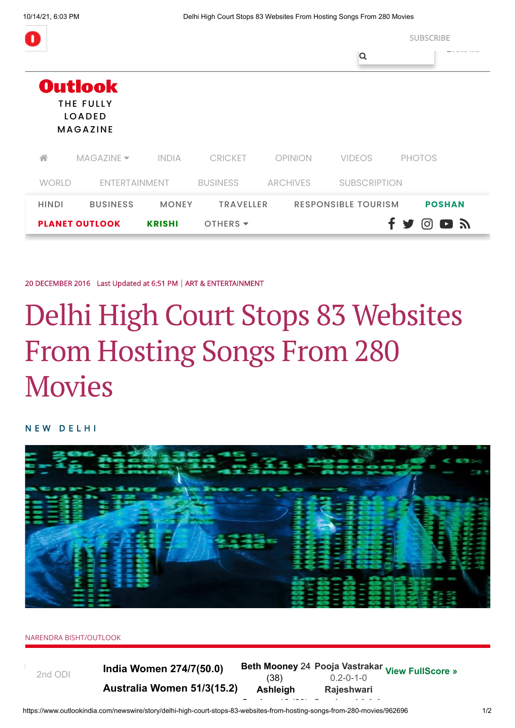|                                        |                 |              |                             |                 |                            | <b>SUBSCRIBE</b>                                     |
|----------------------------------------|-----------------|--------------|-----------------------------|-----------------|----------------------------|------------------------------------------------------|
|                                        |                 |              |                             |                 | Q                          |                                                      |
| <b>Outlook</b>                         |                 |              |                             |                 |                            |                                                      |
| <b>THE FULLY</b><br><b>LOADED</b>      |                 |              |                             |                 |                            |                                                      |
|                                        | <b>MAGAZINE</b> |              |                             |                 |                            |                                                      |
| 소                                      | $MAGAZINE =$    | <b>INDIA</b> | <b>CRICKET</b>              | <b>OPINION</b>  | <b>VIDEOS</b>              | <b>PHOTOS</b>                                        |
| <b>WORLD</b>                           | ENTERTAINMENT   |              | <b>BUSINESS</b>             | <b>ARCHIVES</b> | <b>SUBSCRIPTION</b>        |                                                      |
| <b>HINDI</b>                           | <b>BUSINESS</b> | <b>MONEY</b> | <b>TRAVELLER</b>            |                 | <b>RESPONSIBLE TOURISM</b> | <b>POSHAN</b>                                        |
| <b>PLANET OUTLOOK</b><br><b>KRISHI</b> |                 |              | OTHERS $\blacktriangledown$ |                 |                            | $1 \bigtriangledown$ $\bigcirc$ d $\bigtriangledown$ |

[20 DECEMBER 2016](https://www.outlookindia.com/newswire) [Last Updated at 6:51 PM](javascript:void(0);) | [ART & ENTERTAINMENT](https://www.outlookindia.com/newswire/section/arts-entertainment/23)

## Delhi High Court Stops 83 Websites From Hosting Songs From 280 **Movies**

N E W D E L H I



## NARENDRA BISHT/OUTLOOK

2nd ODI **India Women 274/7(50.0) Australia Women 51/3(15.2)**

**India Women 274/7(50.0)** Beth Mooney 24 Pooja Vastrakar <sub>[View FullScore »](https://www.outlookindia.com/sports/cricket-live-score/2nd-odi-australia-women-vs-india-women/51158)</sub> (38) **Ashleigh** 0.2-0-1-0 **Rajeshwari**

https://www.outlookindia.com/newswire/story/delhi-high-court-stops-83-websites-from-hosting-songs-from-280-movies/962696 1/2 **G d** 12 (23) **G k d** 3 0 0